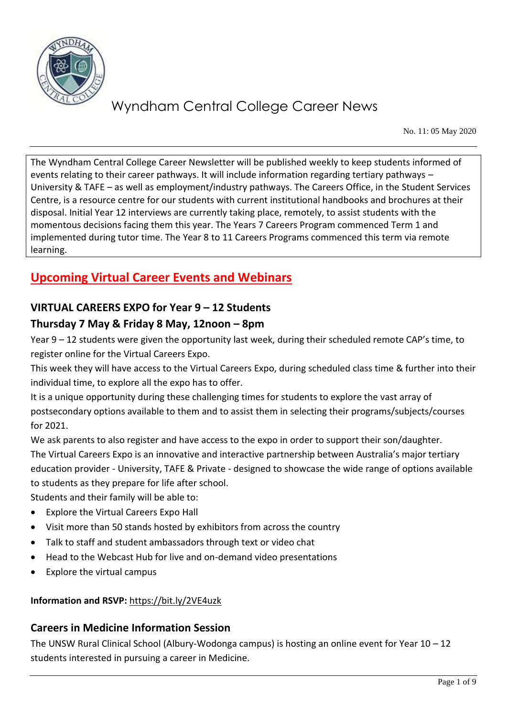

No. 11: 05 May 2020

The Wyndham Central College Career Newsletter will be published weekly to keep students informed of events relating to their career pathways. It will include information regarding tertiary pathways – University & TAFE – as well as employment/industry pathways. The Careers Office, in the Student Services Centre, is a resource centre for our students with current institutional handbooks and brochures at their disposal. Initial Year 12 interviews are currently taking place, remotely, to assist students with the momentous decisions facing them this year. The Years 7 Careers Program commenced Term 1 and implemented during tutor time. The Year 8 to 11 Careers Programs commenced this term via remote learning.

## **Upcoming Virtual Career Events and Webinars**

### **VIRTUAL CAREERS EXPO for Year 9 – 12 Students**

### **Thursday 7 May & Friday 8 May, 12noon – 8pm**

Year 9 – 12 students were given the opportunity last week, during their scheduled remote CAP's time, to register online for the Virtual Careers Expo.

This week they will have access to the Virtual Careers Expo, during scheduled class time & further into their individual time, to explore all the expo has to offer.

It is a unique opportunity during these challenging times for students to explore the vast array of postsecondary options available to them and to assist them in selecting their programs/subjects/courses for 2021.

We ask parents to also register and have access to the expo in order to support their son/daughter. The Virtual Careers Expo is an innovative and interactive partnership between Australia's major tertiary education provider - University, TAFE & Private - designed to showcase the wide range of options available to students as they prepare for life after school.

Students and their family will be able to:

- Explore the Virtual Careers Expo Hall
- Visit more than 50 stands hosted by exhibitors from across the country
- Talk to staff and student ambassadors through text or video chat
- Head to the Webcast Hub for live and on-demand video presentations
- Explore the virtual campus

#### **Information and RSVP:** <https://bit.ly/2VE4uzk>

#### **Careers in Medicine Information Session**

The UNSW Rural Clinical School (Albury-Wodonga campus) is hosting an online event for Year 10 – 12 students interested in pursuing a career in Medicine.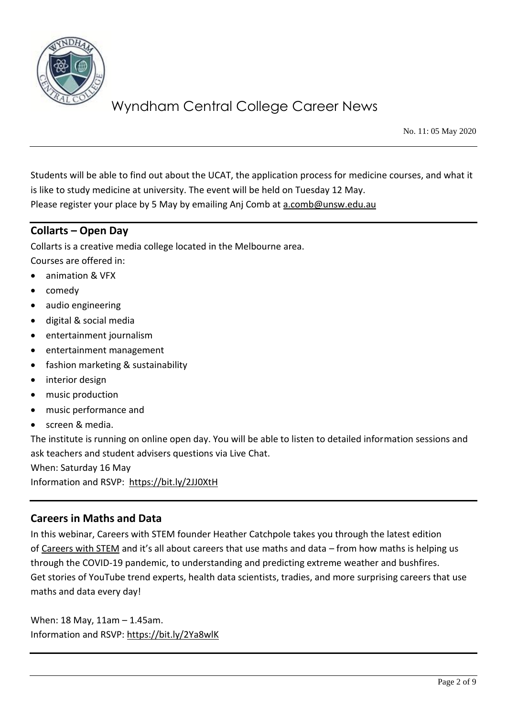

No. 11: 05 May 2020

Students will be able to find out about the UCAT, the application process for medicine courses, and what it is like to study medicine at university. The event will be held on Tuesday 12 May. Please register your place by 5 May by emailing Anj Comb at [a.comb@unsw.edu.au](mailto:a.comb@unsw.edu.au)

### **Collarts – Open Day**

Collarts is a creative media college located in the Melbourne area.

Courses are offered in:

- animation & VFX
- comedy
- audio engineering
- digital & social media
- entertainment journalism
- entertainment management
- fashion marketing & sustainability
- interior design
- music production
- music performance and
- screen & media.

The institute is running on online open day. You will be able to listen to detailed information sessions and ask teachers and student advisers questions via Live Chat.

When: Saturday 16 May

Information and RSVP: <https://bit.ly/2JJ0XtH>

#### **Careers in Maths and Data**

In this webinar, Careers with STEM founder Heather Catchpole takes you through the latest edition of [Careers with STEM](http://www.careerswithstem.com.au/) and it's all about careers that use maths and data – from how maths is helping us through the COVID-19 pandemic, to understanding and predicting extreme weather and bushfires. Get stories of YouTube trend experts, health data scientists, tradies, and more surprising careers that use maths and data every day!

When: 18 May, 11am – 1.45am. Information and RSVP:<https://bit.ly/2Ya8wlK>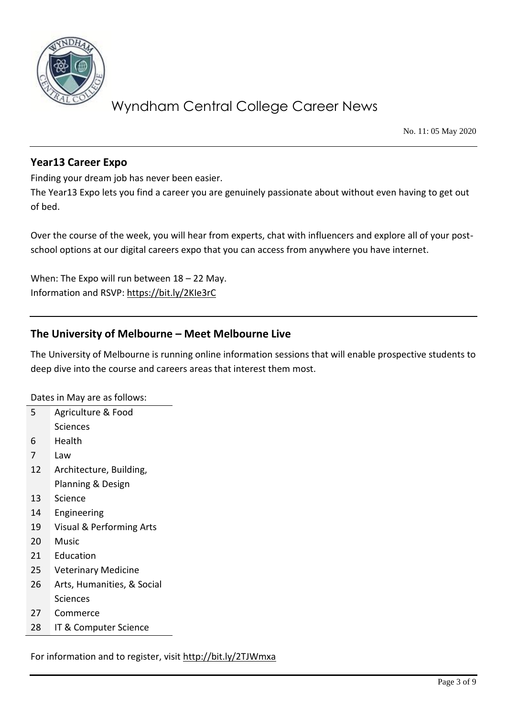

No. 11: 05 May 2020

### **Year13 Career Expo**

Finding your dream job has never been easier.

The Year13 Expo lets you find a career you are genuinely passionate about without even having to get out of bed.

Over the course of the week, you will hear from experts, chat with influencers and explore all of your postschool options at our digital careers expo that you can access from anywhere you have internet.

When: The Expo will run between  $18 - 22$  May. Information and RSVP:<https://bit.ly/2KIe3rC>

#### **The University of Melbourne – Meet Melbourne Live**

The University of Melbourne is running online information sessions that will enable prospective students to deep dive into the course and careers areas that interest them most.

Dates in May are as follows:

| 5  | Agriculture & Food                  |
|----|-------------------------------------|
|    | <b>Sciences</b>                     |
| 6  | Health                              |
| 7  | Law                                 |
| 12 | Architecture, Building,             |
|    | Planning & Design                   |
| 13 | Science                             |
| 14 | Engineering                         |
| 19 | <b>Visual &amp; Performing Arts</b> |
| 20 | Music                               |
| 21 | Education                           |
| 25 | <b>Veterinary Medicine</b>          |
| 26 | Arts, Humanities, & Social          |
|    | Sciences                            |
| 27 | Commerce                            |
| 28 | IT & Computer Science               |

For information and to register, visit<http://bit.ly/2TJWmxa>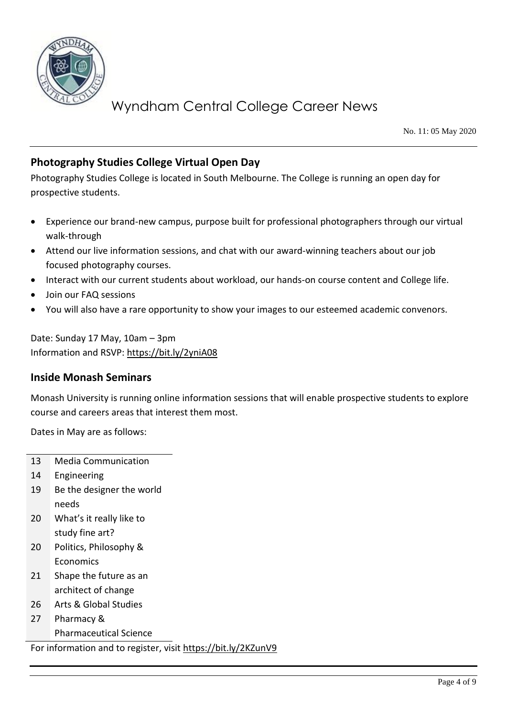

No. 11: 05 May 2020

### **Photography Studies College Virtual Open Day**

Photography Studies College is located in South Melbourne. The College is running an open day for prospective students.

- Experience our brand-new campus, purpose built for professional photographers through our virtual walk-through
- Attend our live information sessions, and chat with our award-winning teachers about our job focused photography courses.
- Interact with our current students about workload, our hands-on course content and College life.
- Join our FAQ sessions
- You will also have a rare opportunity to show your images to our esteemed academic convenors.

Date: Sunday 17 May, 10am – 3pm Information and RSVP:<https://bit.ly/2yniA08>

#### **Inside Monash Seminars**

Monash University is running online information sessions that will enable prospective students to explore course and careers areas that interest them most.

Dates in May are as follows:

- 13 Media Communication
- 14 Engineering
- 19 Be the designer the world needs
- 20 What's it really like to study fine art?
- 20 Politics, Philosophy & Economics
- 21 Shape the future as an architect of change
- 26 Arts & Global Studies
- 27 Pharmacy &
	- Pharmaceutical Science

For information and to register, visit<https://bit.ly/2KZunV9>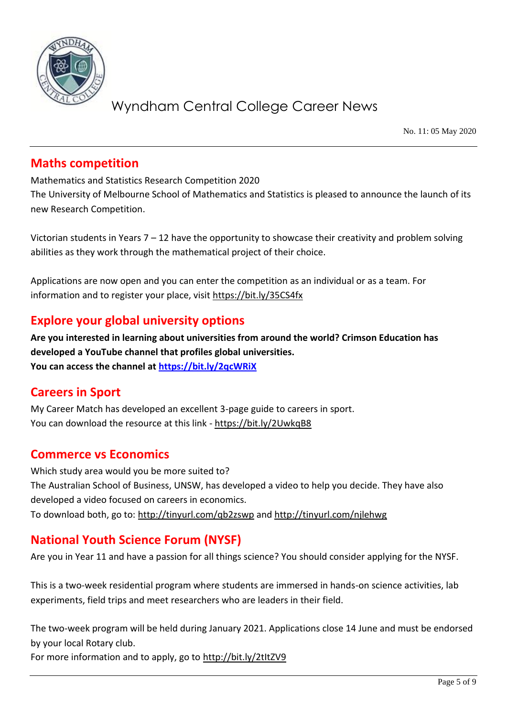

No. 11: 05 May 2020

## **Maths competition**

Mathematics and Statistics Research Competition 2020

The University of Melbourne School of Mathematics and Statistics is pleased to announce the launch of its new Research Competition.

Victorian students in Years 7 – 12 have the opportunity to showcase their creativity and problem solving abilities as they work through the mathematical project of their choice.

Applications are now open and you can enter the competition as an individual or as a team. For information and to register your place, visit<https://bit.ly/35CS4fx>

## **Explore your global university options**

**Are you interested in learning about universities from around the world? Crimson Education has developed a YouTube channel that profiles global universities. You can access the channel at<https://bit.ly/2qcWRiX>**

## **Careers in Sport**

My Career Match has developed an excellent 3-page guide to careers in sport. You can download the resource at this link - <https://bit.ly/2UwkqB8>

## **Commerce vs Economics**

Which study area would you be more suited to? The Australian School of Business, UNSW, has developed a video to help you decide. They have also developed a video focused on careers in economics. To download both, go to:<http://tinyurl.com/qb2zswp> and<http://tinyurl.com/njlehwg>

## **National Youth Science Forum (NYSF)**

Are you in Year 11 and have a passion for all things science? You should consider applying for the NYSF.

This is a two-week residential program where students are immersed in hands-on science activities, lab experiments, field trips and meet researchers who are leaders in their field.

The two-week program will be held during January 2021. Applications close 14 June and must be endorsed by your local Rotary club.

For more information and to apply, go to http://bit.ly/2tltZV9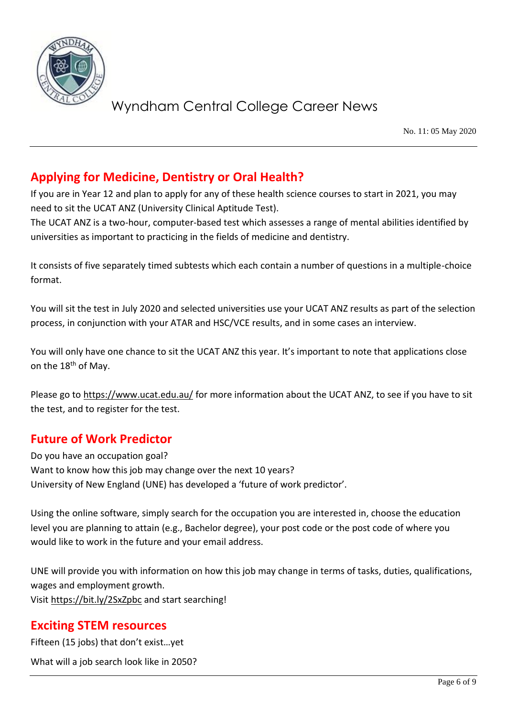

No. 11: 05 May 2020

## **Applying for Medicine, Dentistry or Oral Health?**

If you are in Year 12 and plan to apply for any of these health science courses to start in 2021, you may need to sit the UCAT ANZ (University Clinical Aptitude Test).

The UCAT ANZ is a two-hour, computer-based test which assesses a range of mental abilities identified by universities as important to practicing in the fields of medicine and dentistry.

It consists of five separately timed subtests which each contain a number of questions in a multiple-choice format.

You will sit the test in July 2020 and selected universities use your UCAT ANZ results as part of the selection process, in conjunction with your ATAR and HSC/VCE results, and in some cases an interview.

You will only have one chance to sit the UCAT ANZ this year. It's important to note that applications close on the 18<sup>th</sup> of May.

Please go to <https://www.ucat.edu.au/> for more information about the UCAT ANZ, to see if you have to sit the test, and to register for the test.

## **Future of Work Predictor**

Do you have an occupation goal? Want to know how this job may change over the next 10 years? University of New England (UNE) has developed a 'future of work predictor'.

Using the online software, simply search for the occupation you are interested in, choose the education level you are planning to attain (e.g., Bachelor degree), your post code or the post code of where you would like to work in the future and your email address.

UNE will provide you with information on how this job may change in terms of tasks, duties, qualifications, wages and employment growth. Visi[t https://bit.ly/2SxZpbc](https://bit.ly/2SxZpbc) and start searching!

### **Exciting STEM resources**

Fifteen (15 jobs) that don't exist…yet

What will a job search look like in 2050?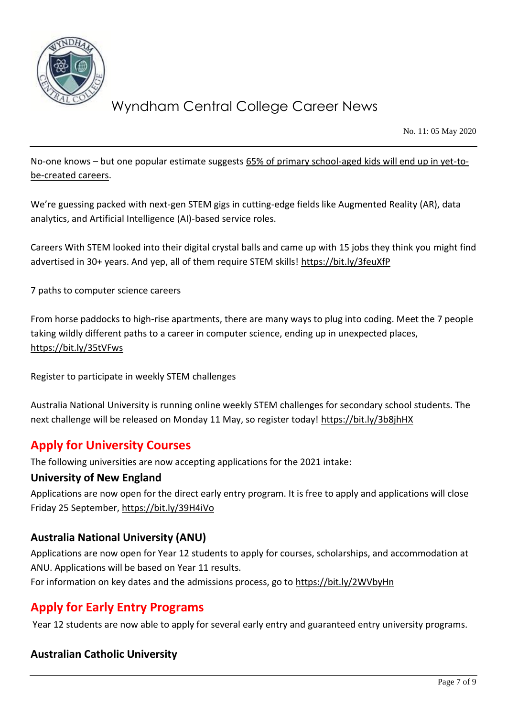

No. 11: 05 May 2020

No-one knows - but one popular estimate suggests 65% of primary school-aged kids will end up in vet-to[be-created careers.](https://reports.weforum.org/future-of-jobs-2016/chapter-1-the-future-of-jobs-and-skills/)

We're guessing packed with next-gen STEM gigs in cutting-edge fields like Augmented Reality (AR), data analytics, and Artificial Intelligence (AI)-based service roles.

Careers With STEM looked into their digital crystal balls and came up with 15 jobs they think you might find advertised in 30+ years. And yep, all of them require STEM skills!<https://bit.ly/3feuXfP>

7 paths to computer science careers

From horse paddocks to high-rise apartments, there are many ways to plug into coding. Meet the 7 people taking wildly different paths to a career in computer science, ending up in unexpected places, <https://bit.ly/35tVFws>

Register to participate in weekly STEM challenges

Australia National University is running online weekly STEM challenges for secondary school students. The next challenge will be released on Monday 11 May, so register today!<https://bit.ly/3b8jhHX>

### **Apply for University Courses**

The following universities are now accepting applications for the 2021 intake:

#### **University of New England**

Applications are now open for the direct early entry program. It is free to apply and applications will close Friday 25 September,<https://bit.ly/39H4iVo>

#### **Australia National University (ANU)**

Applications are now open for Year 12 students to apply for courses, scholarships, and accommodation at ANU. Applications will be based on Year 11 results.

For information on key dates and the admissions process, go to<https://bit.ly/2WVbyHn>

### **Apply for Early Entry Programs**

Year 12 students are now able to apply for several early entry and guaranteed entry university programs.

#### **Australian Catholic University**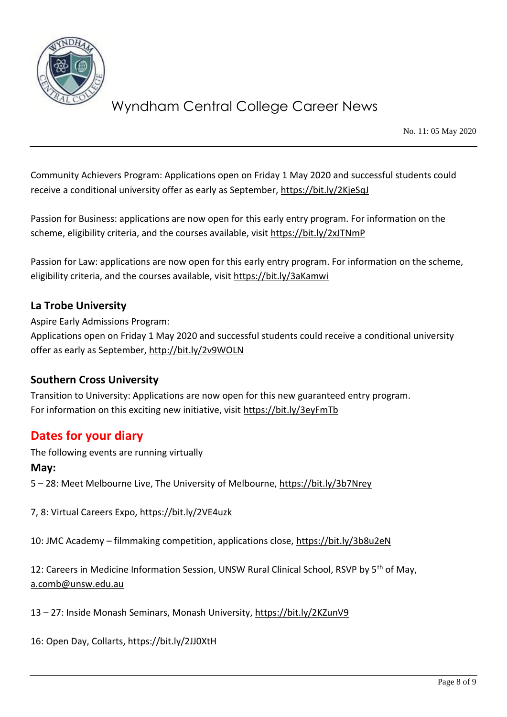

No. 11: 05 May 2020

Community Achievers Program: Applications open on Friday 1 May 2020 and successful students could receive a conditional university offer as early as September,<https://bit.ly/2KjeSqJ>

Passion for Business: applications are now open for this early entry program. For information on the scheme, eligibility criteria, and the courses available, visit<https://bit.ly/2xJTNmP>

Passion for Law: applications are now open for this early entry program. For information on the scheme, eligibility criteria, and the courses available, visit<https://bit.ly/3aKamwi>

#### **La Trobe University**

Aspire Early Admissions Program: Applications open on Friday 1 May 2020 and successful students could receive a conditional university offer as early as September,<http://bit.ly/2v9WOLN>

#### **Southern Cross University**

Transition to University: Applications are now open for this new guaranteed entry program. For information on this exciting new initiative, visit<https://bit.ly/3eyFmTb>

### **Dates for your diary**

The following events are running virtually

#### **May:**

5 – 28: Meet Melbourne Live, The University of Melbourne,<https://bit.ly/3b7Nrey>

7, 8: Virtual Careers Expo,<https://bit.ly/2VE4uzk>

10: JMC Academy – filmmaking competition, applications close,<https://bit.ly/3b8u2eN>

12: Careers in Medicine Information Session, UNSW Rural Clinical School, RSVP by 5<sup>th</sup> of May, [a.comb@unsw.edu.au](mailto:a.comb@unsw.edu.au)

13 – 27: Inside Monash Seminars, Monash University,<https://bit.ly/2KZunV9>

16: Open Day, Collarts,<https://bit.ly/2JJ0XtH>